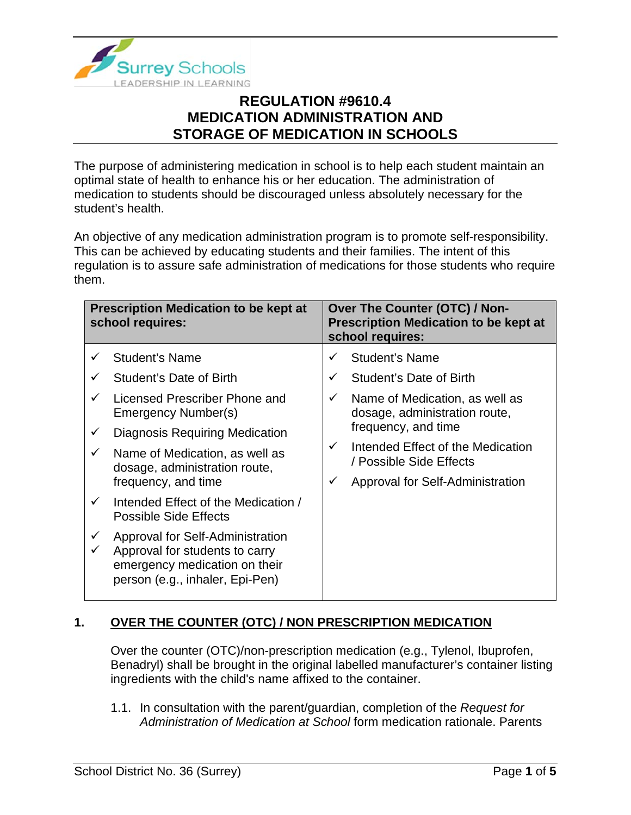

The purpose of administering medication in school is to help each student maintain an optimal state of health to enhance his or her education. The administration of medication to students should be discouraged unless absolutely necessary for the student's health.

An objective of any medication administration program is to promote self-responsibility. This can be achieved by educating students and their families. The intent of this regulation is to assure safe administration of medications for those students who require them.

| <b>Prescription Medication to be kept at</b><br>school requires: |                                                                                                                                        | <b>Over The Counter (OTC) / Non-</b><br><b>Prescription Medication to be kept at</b><br>school requires: |                                                              |
|------------------------------------------------------------------|----------------------------------------------------------------------------------------------------------------------------------------|----------------------------------------------------------------------------------------------------------|--------------------------------------------------------------|
|                                                                  | <b>Student's Name</b>                                                                                                                  | ✓                                                                                                        | <b>Student's Name</b>                                        |
|                                                                  | Student's Date of Birth                                                                                                                | $\checkmark$                                                                                             | Student's Date of Birth                                      |
| ✓                                                                | Licensed Prescriber Phone and<br>Emergency Number(s)                                                                                   | Name of Medication, as well as<br>$\checkmark$<br>dosage, administration route,<br>frequency, and time   |                                                              |
| ✓                                                                | <b>Diagnosis Requiring Medication</b>                                                                                                  |                                                                                                          |                                                              |
| ✓                                                                | Name of Medication, as well as<br>dosage, administration route,                                                                        | $\checkmark$                                                                                             | Intended Effect of the Medication<br>/ Possible Side Effects |
|                                                                  | frequency, and time                                                                                                                    | $\checkmark$                                                                                             | Approval for Self-Administration                             |
| $\checkmark$                                                     | Intended Effect of the Medication /<br><b>Possible Side Effects</b>                                                                    |                                                                                                          |                                                              |
| $\checkmark$                                                     | Approval for Self-Administration<br>Approval for students to carry<br>emergency medication on their<br>person (e.g., inhaler, Epi-Pen) |                                                                                                          |                                                              |

### **1. OVER THE COUNTER (OTC) / NON PRESCRIPTION MEDICATION**

Over the counter (OTC)/non-prescription medication (e.g., Tylenol, Ibuprofen, Benadryl) shall be brought in the original labelled manufacturer's container listing ingredients with the child's name affixed to the container.

1.1. In consultation with the parent/guardian, completion of the *Request for Administration of Medication at School* form medication rationale. Parents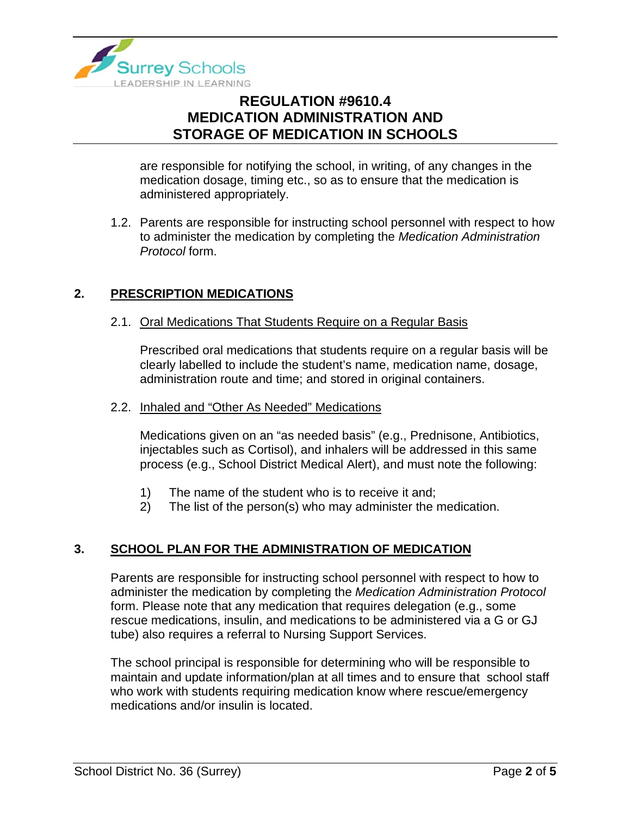

are responsible for notifying the school, in writing, of any changes in the medication dosage, timing etc., so as to ensure that the medication is administered appropriately.

1.2. Parents are responsible for instructing school personnel with respect to how to administer the medication by completing the *Medication Administration Protocol* form.

### **2. PRESCRIPTION MEDICATIONS**

#### 2.1. Oral Medications That Students Require on a Regular Basis

Prescribed oral medications that students require on a regular basis will be clearly labelled to include the student's name, medication name, dosage, administration route and time; and stored in original containers.

#### 2.2. Inhaled and "Other As Needed" Medications

Medications given on an "as needed basis" (e.g., Prednisone, Antibiotics, injectables such as Cortisol), and inhalers will be addressed in this same process (e.g., School District Medical Alert), and must note the following:

- 1) The name of the student who is to receive it and;
- 2) The list of the person(s) who may administer the medication.

### **3. SCHOOL PLAN FOR THE ADMINISTRATION OF MEDICATION**

Parents are responsible for instructing school personnel with respect to how to administer the medication by completing the *Medication Administration Protocol*  form. Please note that any medication that requires delegation (e.g., some rescue medications, insulin, and medications to be administered via a G or GJ tube) also requires a referral to Nursing Support Services.

The school principal is responsible for determining who will be responsible to maintain and update information/plan at all times and to ensure that school staff who work with students requiring medication know where rescue/emergency medications and/or insulin is located.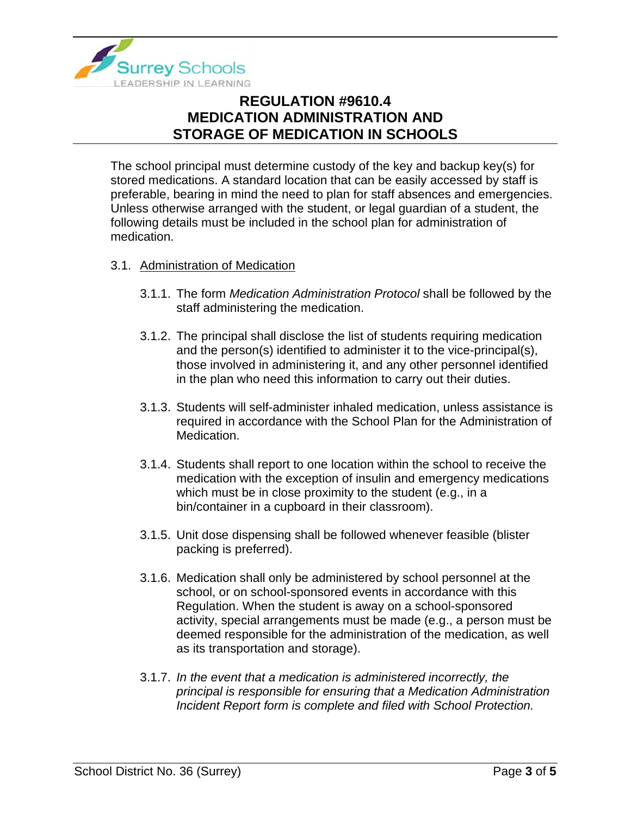

The school principal must determine custody of the key and backup key(s) for stored medications. A standard location that can be easily accessed by staff is preferable, bearing in mind the need to plan for staff absences and emergencies. Unless otherwise arranged with the student, or legal guardian of a student, the following details must be included in the school plan for administration of medication.

#### 3.1. Administration of Medication

- 3.1.1. The form *Medication Administration Protocol* shall be followed by the staff administering the medication.
- 3.1.2. The principal shall disclose the list of students requiring medication and the person(s) identified to administer it to the vice-principal(s), those involved in administering it, and any other personnel identified in the plan who need this information to carry out their duties.
- 3.1.3. Students will self-administer inhaled medication, unless assistance is required in accordance with the School Plan for the Administration of Medication.
- 3.1.4. Students shall report to one location within the school to receive the medication with the exception of insulin and emergency medications which must be in close proximity to the student (e.g., in a bin/container in a cupboard in their classroom).
- 3.1.5. Unit dose dispensing shall be followed whenever feasible (blister packing is preferred).
- 3.1.6. Medication shall only be administered by school personnel at the school, or on school-sponsored events in accordance with this Regulation. When the student is away on a school-sponsored activity, special arrangements must be made (e.g., a person must be deemed responsible for the administration of the medication, as well as its transportation and storage).
- 3.1.7. *In the event that a medication is administered incorrectly, the principal is responsible for ensuring that a Medication Administration Incident Report form is complete and filed with School Protection.*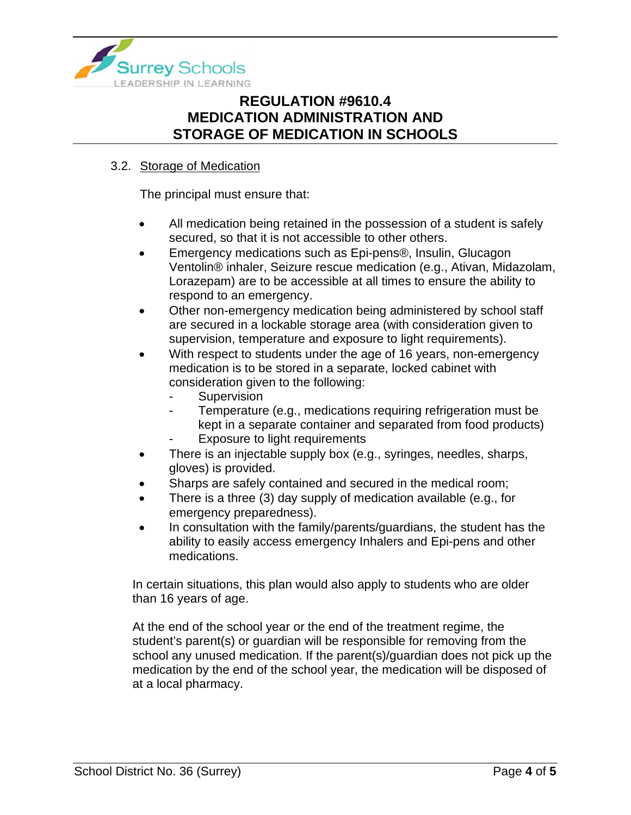

### 3.2. Storage of Medication

The principal must ensure that:

- All medication being retained in the possession of a student is safely secured, so that it is not accessible to other others.
- Emergency medications such as Epi-pens<sup>®</sup>, Insulin, Glucagon Ventolin® inhaler, Seizure rescue medication (e.g., Ativan, Midazolam, Lorazepam) are to be accessible at all times to ensure the ability to respond to an emergency.
- Other non-emergency medication being administered by school staff are secured in a lockable storage area (with consideration given to supervision, temperature and exposure to light requirements).
- With respect to students under the age of 16 years, non-emergency medication is to be stored in a separate, locked cabinet with consideration given to the following:
	- **Supervision**
	- Temperature (e.g., medications requiring refrigeration must be kept in a separate container and separated from food products)
	- Exposure to light requirements
- There is an injectable supply box (e.g., syringes, needles, sharps, gloves) is provided.
- Sharps are safely contained and secured in the medical room;
- There is a three (3) day supply of medication available (e.g., for emergency preparedness).
- In consultation with the family/parents/guardians, the student has the ability to easily access emergency Inhalers and Epi-pens and other medications.

In certain situations, this plan would also apply to students who are older than 16 years of age.

At the end of the school year or the end of the treatment regime, the student's parent(s) or guardian will be responsible for removing from the school any unused medication. If the parent(s)/guardian does not pick up the medication by the end of the school year, the medication will be disposed of at a local pharmacy.